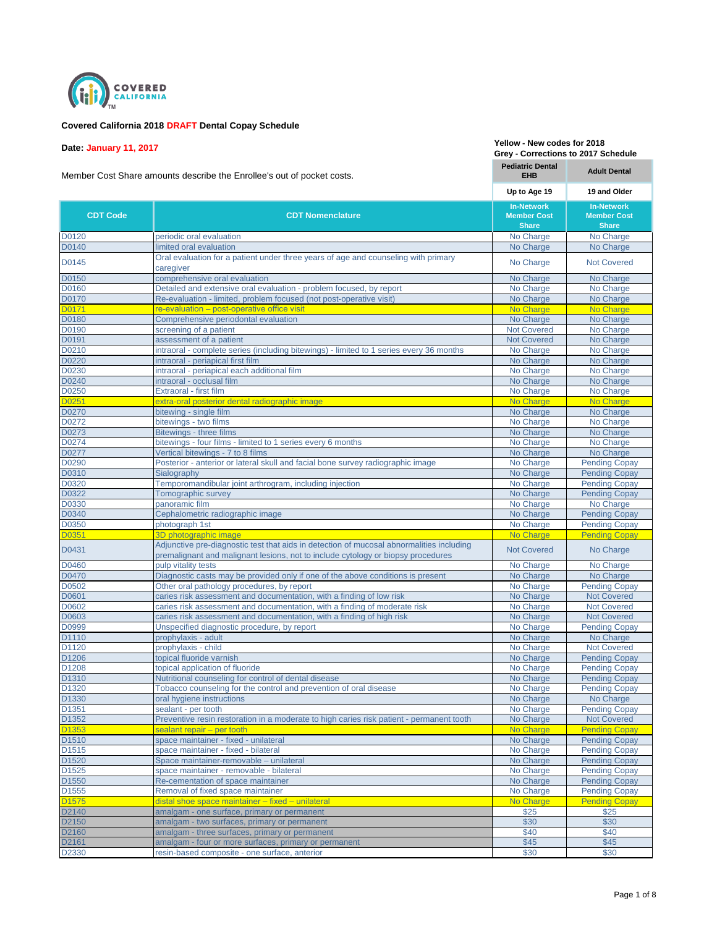

## **Covered California 2018 DRAFT Dental Copay Schedule**

**Date: January 11, 2017**

Member Cost Share amounts describe the Enrollee's out of pocket costs.

**EHB Adult Dental Up to Age 19 19 and Older** D0120 **periodic oral evaluation periodic oral evaluation periodic oral evaluation No Charge** No Charge No Charge No Charge No Charge No Charge No Charge No Charge No Charge No Charge No Charge No Charge No Charge No D0140 **limited oral evaluation intervaluation** No Charge No Charge No Charge No Charge No Charge No Charge No Charge No Charge No Charge No Charge No Charge No Charge No Charge No Charge No Charge No Charge No Charge No Oral evaluation for a patient under three years of age and counseling with primary **No Charge** Not Covered<br>
Caregiver D0150 comprehensive oral evaluation comprehensive oral evaluation comprehensive oral evaluation comprehensive oral evaluation comprehensive oral evaluation comprehensive oral evaluation D0160 Detailed and extensive oral evaluation - problem focused, by report No Charge No Charge No Charge No Charge No Charge No Charge No Charge No Charge No Charge No Charge No Charge No Charge No Charge No Charge No Charg D0170 Re-evaluation - limited, problem focused (not post-operative visit) No Charge No Charge No Charge of the evaluation – post-operative office visit No Charge No Charge No Charge No Charge No Charge No Charge No<br>
D0180 Charge No Charge No Charge No Charge No Charge No Charge No Charge No Charge No Charge No Charge No Cha Comprehensive periodontal evaluation No Charge No Charge No Charge No Charge No Charge No Charge No Charge No Charge No Charge Screening of a patient D0190 screening of a patient Not Covered Not Covered Not Covered Not Covered Not Covered Not Covered Not Covered Not Covered Not Covered Not Covered Not Covered Not Covered Not Covered Not Covered Not Covered Not Covered N D0191 **assessment of a patient** Not Covered No Charge Not Covered No Charge Not Covered No Charge D0210 **intraoral - complete series (including bitewings)** - limited to 1 series every 36 months No Charge No Charge D0220 **intraoral - periapical first film** No Charge No Charge No Charge No Charge No Charge No Charge No Charge No Charge No Charge No Charge No Charge No Charge No Charge No Charge No Charge No Charge No Charge No Charge on the matter of the matter of the matter of the matter of the matter of the matter of the matter of the matter<br>D0240 **intraoral - occlusal film** No Charge No Charge No Charge No Charge No Charge No Charge No Charge No Cha D0240 **intraoral** - occlusal film D0250 **Extraoral - first film Extraoral - first film** No Charge No Charge No Charge No Charge No Charge No Charge No Charge No Charge No Charge No Charge No Charge No Charge No Charge No Charge No Charge No Charge No Cha of the Lattra-oral posterior dental radiographic image North Charge No Charge No Charge No Charge No Charge No<br>D0270 hitewing - single film bitewing - single film No Charge No Charge No Charge No Charge No Charge No Charge No Charge No Charge No Charge No Charge No Charge No Charge No Charge No Charge No Charge No Charge No Charge No Charge No Charge No Charge D0272 bitewings - two films D0273 Bitewings - three films No Charge No Charge No Charge No Charge No Charge No Charge No Charge No Charge No Charge No Charge No Charge No Charge No Charge No Charge No Charge No Charge No Charge No Charge No Charge No D0274 bitewings - four films - limited to 1 series every 6 months No Charge No Charge No Charge No Charge No Charge No Charge No Charge No Charge No Charge No Charge No Charge No Charge No Charge No Charge No Charge No Cha D0277 Vertical bitewings - 7 to 8 films D0290 Posterior - anterior or lateral skull and facial bone survey radiographic image No Charge Pending Copay D0310 **Sialography** Substitute Community Community Copay No Charge Pending Copay D0320 Temporomandibular joint arthrogram, including injection No Charge No Charge Pending Copay D0322 Tomographic survey No Charge Pending Copay D0330 panoramic film the state of the state of the state of the state of the No Charge No Charge No Charge D0340 **Cephalometric radiographic image No Charge Pending Copay** No Charge Pending Copay D0350 **photograph 1st photograph 1st** new photograph 1st new photograph 1st new photograph 1st new photograph 1st new photograph 1st new photograph 1st new photograph 1st new photograph 1st new photograph 1st new photogr D0351 3D photographic image No Charge Pending Copay D0431 Adjunctive pre-diagnostic test that aids in detection of mucosal abnormalities including Rujuricuve pre-ulagriosite test that alus in detection or mucosal abhormantes including Not Covered No Charge<br>Distribution and malignant lesions, not to include cytology or biopsy procedures D0460 **pulp vitality tests** No Charge No Charge No Charge No Charge No Charge No Charge No Charge No Charge No Charge No Charge No Charge No Charge No Charge No Charge No Charge No Charge No Charge No Charge No Charge No C D0470 Diagnostic casts may be provided only if one of the above conditions is present No Charge No Charge No Charge No Charge No Charge No Charge No Charge No Charge No Charge No Charge No Charge No Charge Pending Cop. D0502 Other oral pathology procedures, by report No Charge Pending Copay D0601 caries risk assessment and documentation, with a finding of low risk Notcharge Not Covered D0602 caries risk assessment and documentation, with a finding of moderate risk No Charge Not Covered D0603 caries risk assessment and documentation, with a finding of high risk No Charge Not Covered D0999 **DOSE Unspecified diagnostic procedure**, by report No Charge Pending Copay<br>
D1110 **DOSE PENDING PENDING PROPILE PROPILE PROPILE PROPILE PROPILE PROPILE PROPILE PROPILE PROPILE PROPILE PRO** D1110 prophylaxis - adult No Charge No Charge No Charge No Charge No Charge No Charge No Charge No Charge No Charge No Charge No Charge No Charge No Charge No Charge No Charge No Charge No Charge No Charge No Charge No Cha D1120 **prophylaxis - child prophylaxis - child prophylaxis - child prophylaxis - child Not Covered** Not Covered D1206 **the Contract of Copyright Copyright Copyright Copyright Copyright Copyright Copyright Copyright Copyright Copyright Copyright Copyright Copyright Copyright Copyright Copyright Copyright Copyright Copyright Copyright** D1208 topical application of fluoride<br>
D1310 **https://www.franchildefile.com/information** outposite of dental disease **No Charge Pending Copay**<br>
D1310 **https://www.franchilde.com/information** D1310 **https://www.franchilde.** D1310 Nutritional counseling for control of dental disease No Charge Rending Copay D1320 Tobacco counseling for the control and prevention of oral disease No Charge Pending Copay D1330 oral hygiene instructions and the contract of the contract of the contract of the contract of the contract of the Charge No Charge No Charge No Charge Sealant - per tooth and the contract of the contract of the contr **DEAL SEALER SEALER SEALER SEALER SEALER SEALER SEALER SEALER SEALER SEALER SEALER SEALER SEALER SEALER SEALER SEALER SEALER SEALER SEALER SEALER SEALER SEALER SEALER SEALER SEALER SEALER SEALER SEALER SEALER SEALER SEALER** D1352 Preventive resin restoration in a moderate to high caries risk patient - permanent tooth No Charge Not Covered Enterty of the Machinesian of the Sealant repair – per tooth No Charge Pending Copay<br>Charge Pending Copay (Space maintainer - fixed - unilateral Machinesian Copay Copay Pending Copay Pending Copay space maintainer - fixed - unilateral D1515 Space maintainer - fixed - bilateral No Charge Pending Copay D1520 Space maintainer-removable – unilateral No Charge Rending Copay D1525 Space maintainer - removable - bilateral No Charge Pending Copay<br>
D1550 Re-cementation of space maintainer<br>
No Charge Pending Copay D1550 Re-cementation of space maintainer No Charge Rending Copay of the D1555 Removal of fixed space maintainer and a series of the series of the No Charge Pending Copay Removal of fixed space maintainer and the pending Copay Removal of the space maintainer – fixed – unilateral and the dishoe space maintainer – fixed – unilateral No Charge Pending Copay D2140 **amalgam - one surface, primary or permanent** and the state of the state  $\frac{1}{325}$  \$25 \$25 amalgam - two surfaces, primary or permanent and the state of the state of the state of the state of the state o<br>D2160 **by amalgam - three surfaces, primary or permanent** and the state of the state of the state of the stat amalgam - three surfaces, primary or permanent  $$40$ <br>amalgam - four or more surfaces, primary or permanent  $$45$ D2161 **amalgam - four or more surfaces, primary or permanent 1996 1997 1997 1998 1998 1998 1998 1998 In-Network Member Cost Share CDT Code CDT Nomenclature In-Network Member Cost Share**

D2330 resin-based composite - one surface, anterior **by the state of the system of the system**  $\sim$  \$30 \$30 \$30

**Pediatric Dental** 

**Yellow - New codes for 2018 Grey - Corrections to 2017 Schedule**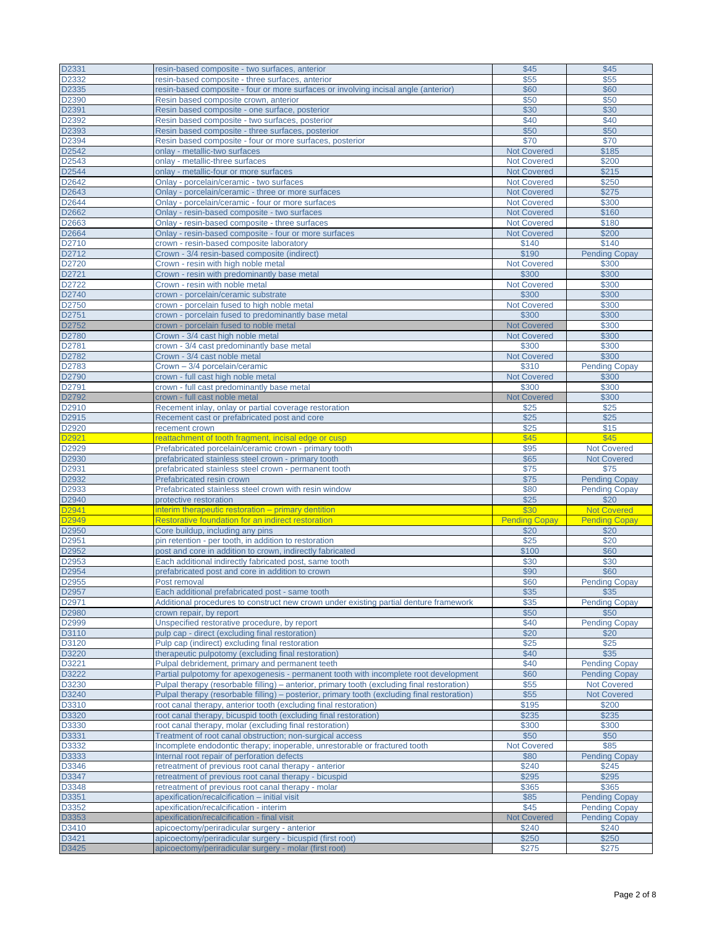| D2331 | resin-based composite - two surfaces, anterior                                               | \$45                 | \$45                 |
|-------|----------------------------------------------------------------------------------------------|----------------------|----------------------|
| D2332 | resin-based composite - three surfaces, anterior                                             | \$55                 | \$55                 |
|       |                                                                                              |                      |                      |
| D2335 | resin-based composite - four or more surfaces or involving incisal angle (anterior)          | \$60                 | \$60                 |
| D2390 | Resin based composite crown, anterior                                                        | \$50                 | \$50                 |
| D2391 | Resin based composite - one surface, posterior                                               | \$30                 | \$30                 |
| D2392 | Resin based composite - two surfaces, posterior                                              | \$40                 | \$40                 |
| D2393 | Resin based composite - three surfaces, posterior                                            | \$50                 | \$50                 |
| D2394 | Resin based composite - four or more surfaces, posterior                                     | \$70                 | \$70                 |
|       |                                                                                              |                      |                      |
| D2542 | onlay - metallic-two surfaces                                                                | <b>Not Covered</b>   | \$185                |
| D2543 | onlay - metallic-three surfaces                                                              | <b>Not Covered</b>   | \$200                |
| D2544 | onlay - metallic-four or more surfaces                                                       | <b>Not Covered</b>   | \$215                |
| D2642 | Onlay - porcelain/ceramic - two surfaces                                                     | <b>Not Covered</b>   | \$250                |
| D2643 |                                                                                              | <b>Not Covered</b>   |                      |
|       | Onlay - porcelain/ceramic - three or more surfaces                                           |                      | \$275                |
| D2644 | Onlay - porcelain/ceramic - four or more surfaces                                            | <b>Not Covered</b>   | \$300                |
| D2662 | Onlay - resin-based composite - two surfaces                                                 | <b>Not Covered</b>   | \$160                |
| D2663 | Onlay - resin-based composite - three surfaces                                               | <b>Not Covered</b>   | \$180                |
| D2664 | Onlay - resin-based composite - four or more surfaces                                        | <b>Not Covered</b>   | \$200                |
| D2710 | crown - resin-based composite laboratory                                                     | \$140                | \$140                |
|       |                                                                                              |                      |                      |
| D2712 | Crown - 3/4 resin-based composite (indirect)                                                 | \$190                | <b>Pending Copay</b> |
| D2720 | Crown - resin with high noble metal                                                          | <b>Not Covered</b>   | \$300                |
| D2721 | Crown - resin with predominantly base metal                                                  | \$300                | \$300                |
| D2722 | Crown - resin with noble metal                                                               | <b>Not Covered</b>   | \$300                |
| D2740 | crown - porcelain/ceramic substrate                                                          | \$300                | \$300                |
|       |                                                                                              |                      |                      |
| D2750 | crown - porcelain fused to high noble metal                                                  | Not Covered          | \$300                |
| D2751 | crown - porcelain fused to predominantly base metal                                          | \$300                | \$300                |
| D2752 | crown - porcelain fused to noble metal                                                       | <b>Not Covered</b>   | \$300                |
| D2780 | Crown - 3/4 cast high noble metal                                                            | <b>Not Covered</b>   | \$300                |
|       | crown - 3/4 cast predominantly base metal                                                    | \$300                |                      |
| D2781 |                                                                                              |                      | \$300                |
| D2782 | Crown - 3/4 cast noble metal                                                                 | <b>Not Covered</b>   | \$300                |
| D2783 | Crown - 3/4 porcelain/ceramic                                                                | \$310                | <b>Pending Copay</b> |
| D2790 | crown - full cast high noble metal                                                           | <b>Not Covered</b>   | \$300                |
| D2791 | crown - full cast predominantly base metal                                                   | \$300                | \$300                |
|       |                                                                                              |                      |                      |
| D2792 | crown - full cast noble metal                                                                | <b>Not Covered</b>   | \$300                |
| D2910 | Recement inlay, onlay or partial coverage restoration                                        | \$25                 | \$25                 |
| D2915 | Recement cast or prefabricated post and core                                                 | \$25                 | \$25                 |
| D2920 | recement crown                                                                               | \$25                 | \$15                 |
| D2921 | reattachment of tooth fragment, incisal edge or cusp                                         | \$45                 | \$45                 |
|       |                                                                                              |                      |                      |
| D2929 | Prefabricated porcelain/ceramic crown - primary tooth                                        | \$95                 | <b>Not Covered</b>   |
| D2930 | prefabricated stainless steel crown - primary tooth                                          | \$65                 | <b>Not Covered</b>   |
| D2931 | prefabricated stainless steel crown - permanent tooth                                        | \$75                 | \$75                 |
| D2932 | Prefabricated resin crown                                                                    | \$75                 | <b>Pending Copay</b> |
| D2933 | Prefabricated stainless steel crown with resin window                                        | \$80                 | <b>Pending Copay</b> |
| D2940 |                                                                                              | \$25                 | \$20                 |
|       | protective restoration                                                                       |                      |                      |
| D2941 | interim therapeutic restoration – primary dentition                                          | \$30                 | <b>Not Covered</b>   |
| D2949 | Restorative foundation for an indirect restoration                                           | <b>Pending Copay</b> | <b>Pending Copay</b> |
| D2950 | Core buildup, including any pins                                                             | \$20                 | \$20                 |
| D2951 | pin retention - per tooth, in addition to restoration                                        | \$25                 | \$20                 |
| D2952 | post and core in addition to crown, indirectly fabricated                                    | \$100                | \$60                 |
|       |                                                                                              |                      |                      |
| D2953 | Each additional indirectly fabricated post, same tooth                                       | \$30                 | \$30                 |
| D2954 | prefabricated post and core in addition to crown                                             | \$90                 | \$60                 |
| D2955 | Post removal                                                                                 | \$60                 | <b>Pending Copay</b> |
| D2957 | Each additional prefabricated post - same tooth                                              | \$35                 | \$35                 |
| D2971 | Additional procedures to construct new crown under existing partial denture framework        | \$35                 | <b>Pending Copay</b> |
|       |                                                                                              |                      |                      |
| D2980 | crown repair, by report                                                                      | \$50                 | \$50                 |
| D2999 | Unspecified restorative procedure, by report                                                 | \$40                 | <b>Pending Copay</b> |
| D3110 | pulp cap - direct (excluding final restoration)                                              | \$20                 | \$20                 |
| D3120 | Pulp cap (indirect) excluding final restoration                                              | \$25                 | \$25                 |
| D3220 | therapeutic pulpotomy (excluding final restoration)                                          | \$40                 | \$35                 |
|       |                                                                                              |                      |                      |
| D3221 | Pulpal debridement, primary and permanent teeth                                              | \$40                 | <b>Pending Copay</b> |
| D3222 | Partial pulpotomy for apexogenesis - permanent tooth with incomplete root development        | \$60                 | <b>Pending Copay</b> |
| D3230 | Pulpal therapy (resorbable filling) – anterior, primary tooth (excluding final restoration)  | \$55                 | <b>Not Covered</b>   |
| D3240 | Pulpal therapy (resorbable filling) – posterior, primary tooth (excluding final restoration) | \$55                 | <b>Not Covered</b>   |
| D3310 | root canal therapy, anterior tooth (excluding final restoration)                             | \$195                | \$200                |
|       |                                                                                              |                      |                      |
| D3320 | root canal therapy, bicuspid tooth (excluding final restoration)                             | \$235                | \$235                |
| D3330 | root canal therapy, molar (excluding final restoration)                                      | \$300                | \$300                |
| D3331 | Treatment of root canal obstruction; non-surgical access                                     | \$50                 | \$50                 |
| D3332 | Incomplete endodontic therapy; inoperable, unrestorable or fractured tooth                   | <b>Not Covered</b>   | \$85                 |
| D3333 | Internal root repair of perforation defects                                                  | \$80                 | <b>Pending Copay</b> |
|       |                                                                                              |                      |                      |
| D3346 | retreatment of previous root canal therapy - anterior                                        | \$240                | \$245                |
| D3347 | retreatment of previous root canal therapy - bicuspid                                        | \$295                | \$295                |
| D3348 | retreatment of previous root canal therapy - molar                                           | \$365                | \$365                |
| D3351 | apexification/recalcification - initial visit                                                | \$85                 | <b>Pending Copay</b> |
| D3352 | apexification/recalcification - interim                                                      | \$45                 | <b>Pending Copay</b> |
|       |                                                                                              |                      |                      |
| D3353 | apexification/recalcification - final visit                                                  | <b>Not Covered</b>   | <b>Pending Copay</b> |
| D3410 |                                                                                              |                      |                      |
|       | apicoectomy/periradicular surgery - anterior                                                 | \$240                | \$240                |
| D3421 | apicoectomy/periradicular surgery - bicuspid (first root)                                    | \$250                | \$250                |
| D3425 | apicoectomy/periradicular surgery - molar (first root)                                       | \$275                | \$275                |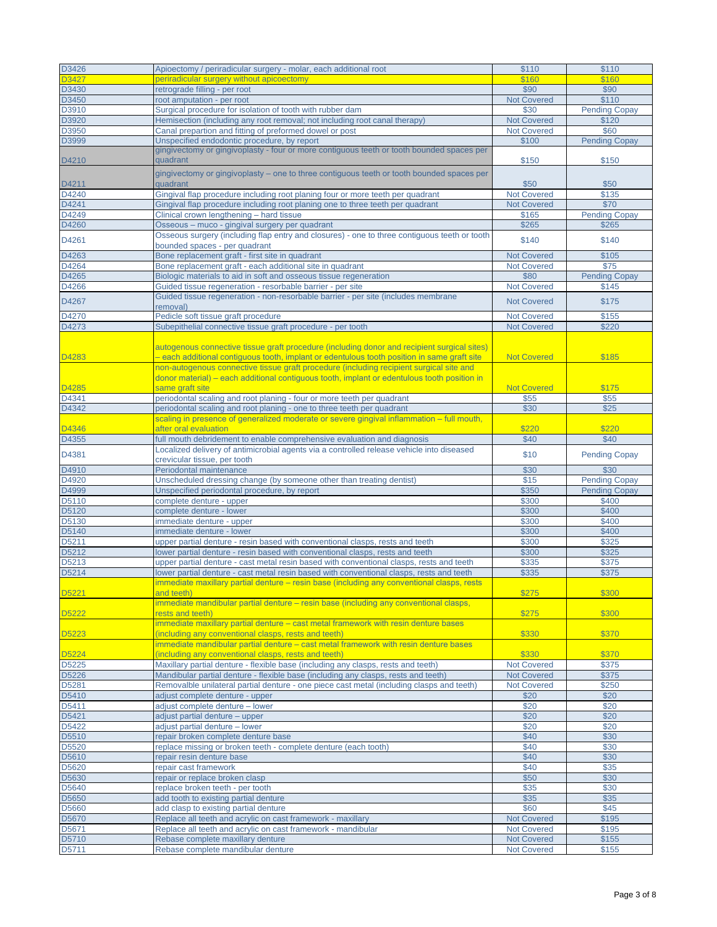| D3426             | Apioectomy / periradicular surgery - molar, each additional root                             | \$110              | \$110                |
|-------------------|----------------------------------------------------------------------------------------------|--------------------|----------------------|
| D3427             | periradicular surgery without apicoectomy                                                    | \$160              | \$160                |
|                   |                                                                                              |                    |                      |
| D3430             | retrograde filling - per root                                                                | \$90               | \$90                 |
| D3450             | root amputation - per root                                                                   | <b>Not Covered</b> | \$110                |
| D3910             | Surgical procedure for isolation of tooth with rubber dam                                    | \$30               | <b>Pending Copay</b> |
| D3920             | Hemisection (including any root removal; not including root canal therapy)                   | <b>Not Covered</b> | \$120                |
| D3950             | Canal prepartion and fitting of preformed dowel or post                                      | <b>Not Covered</b> | \$60                 |
|                   |                                                                                              |                    |                      |
| D3999             | Unspecified endodontic procedure, by report                                                  | \$100              | <b>Pending Copay</b> |
|                   | gingivectomy or gingivoplasty - four or more contiguous teeth or tooth bounded spaces per    |                    |                      |
| D4210             | quadrant                                                                                     | \$150              | \$150                |
|                   | gingivectomy or gingivoplasty – one to three contiguous teeth or tooth bounded spaces per    |                    |                      |
|                   |                                                                                              |                    |                      |
| D4211             | quadrant                                                                                     | \$50               | \$50                 |
| D4240             | Gingival flap procedure including root planing four or more teeth per quadrant               | <b>Not Covered</b> | \$135                |
| D4241             | Gingival flap procedure including root planing one to three teeth per quadrant               | <b>Not Covered</b> | \$70                 |
| D4249             | Clinical crown lengthening - hard tissue                                                     | \$165              | <b>Pending Copay</b> |
| D4260             | Osseous – muco - gingival surgery per quadrant                                               | \$265              | \$265                |
|                   | Osseous surgery (including flap entry and closures) - one to three contiguous teeth or tooth |                    |                      |
| D4261             |                                                                                              | \$140              | \$140                |
|                   | bounded spaces - per quadrant                                                                |                    |                      |
| D4263             | Bone replacement graft - first site in quadrant                                              | <b>Not Covered</b> | \$105                |
| D4264             | Bone replacement graft - each additional site in quadrant                                    | <b>Not Covered</b> | \$75                 |
| D4265             | Biologic materials to aid in soft and osseous tissue regeneration                            | \$80               | <b>Pending Copay</b> |
| D4266             | Guided tissue regeneration - resorbable barrier - per site                                   | <b>Not Covered</b> | \$145                |
|                   |                                                                                              |                    |                      |
| D4267             | Guided tissue regeneration - non-resorbable barrier - per site (includes membrane            | <b>Not Covered</b> | \$175                |
|                   | removal)                                                                                     |                    |                      |
| D4270             | Pedicle soft tissue graft procedure                                                          | <b>Not Covered</b> | \$155                |
| D4273             | Subepithelial connective tissue graft procedure - per tooth                                  | <b>Not Covered</b> | \$220                |
|                   |                                                                                              |                    |                      |
|                   | autogenous connective tissue graft procedure (including donor and recipient surgical sites)  |                    |                      |
|                   |                                                                                              |                    |                      |
| D4283             | - each additional contiguous tooth, implant or edentulous tooth position in same graft site  | <b>Not Covered</b> | \$185                |
|                   | non-autogenous connective tissue graft procedure (including recipient surgical site and      |                    |                      |
|                   | donor material) – each additional contiquous tooth, implant or edentulous tooth position in  |                    |                      |
| D4285             | same graft site                                                                              | <b>Not Covered</b> | \$175                |
| D4341             | periodontal scaling and root planing - four or more teeth per quadrant                       | \$55               | \$55                 |
|                   |                                                                                              |                    |                      |
| D4342             | periodontal scaling and root planing - one to three teeth per quadrant                       | \$30               | \$25                 |
|                   | scaling in presence of generalized moderate or severe gingival inflammation – full mouth,    |                    |                      |
| D4346             | after oral evaluation                                                                        | \$220              | \$220                |
| D4355             | full mouth debridement to enable comprehensive evaluation and diagnosis                      | \$40               | \$40                 |
|                   | Localized delivery of antimicrobial agents via a controlled release vehicle into diseased    |                    |                      |
| D4381             |                                                                                              | \$10               | <b>Pending Copay</b> |
|                   | crevicular tissue, per tooth                                                                 |                    |                      |
| D4910             | Periodontal maintenance                                                                      | \$30               | \$30                 |
| D4920             | Unscheduled dressing change (by someone other than treating dentist)                         | \$15               | <b>Pending Copay</b> |
| D4999             | Unspecified periodontal procedure, by report                                                 | \$350              | <b>Pending Copay</b> |
| D5110             | complete denture - upper                                                                     | \$300              | \$400                |
|                   |                                                                                              |                    | \$400                |
| D5120             | complete denture - lower                                                                     | \$300              |                      |
| D5130             | immediate denture - upper                                                                    | \$300              | \$400                |
| D5140             | immediate denture - lower                                                                    | \$300              | \$400                |
| D5211             | upper partial denture - resin based with conventional clasps, rests and teeth                | \$300              | \$325                |
| D5212             | lower partial denture - resin based with conventional clasps, rests and teeth                | \$300              | \$325                |
| D5213             | upper partial denture - cast metal resin based with conventional clasps, rests and teeth     | \$335              | \$375                |
|                   |                                                                                              |                    |                      |
| D5214             | lower partial denture - cast metal resin based with conventional clasps, rests and teeth     | \$335              | \$375                |
|                   | immediate maxillary partial denture – resin base (including any conventional clasps, rests   |                    |                      |
| D5221             | and teeth)                                                                                   | \$275              | \$300                |
|                   | immediate mandibular partial denture - resin base (including any conventional clasps,        |                    |                      |
| D5222             | rests and teeth)                                                                             | \$275              | \$300                |
|                   |                                                                                              |                    |                      |
|                   | immediate maxillary partial denture – cast metal framework with resin denture bases          |                    |                      |
| D5223             | (including any conventional clasps, rests and teeth)                                         | \$330              | \$370                |
|                   | immediate mandibular partial denture - cast metal framework with resin denture bases         |                    |                      |
| D5224             | (including any conventional clasps, rests and teeth)                                         | \$330              | \$370                |
| D <sub>5225</sub> | Maxillary partial denture - flexible base (including any clasps, rests and teeth)            | <b>Not Covered</b> | \$375                |
| D5226             | Mandibular partial denture - flexible base (including any clasps, rests and teeth)           | <b>Not Covered</b> | \$375                |
|                   |                                                                                              |                    |                      |
| D5281             | Removalble unilateral partial denture - one piece cast metal (including clasps and teeth)    | <b>Not Covered</b> | \$250                |
| D5410             | adjust complete denture - upper                                                              | \$20               | \$20                 |
| D5411             | adjust complete denture - lower                                                              | \$20               | \$20                 |
| D5421             | adjust partial denture – upper                                                               | \$20               | \$20                 |
|                   |                                                                                              |                    |                      |
| D5422             | adjust partial denture - lower                                                               | \$20               | \$20                 |
| D5510             | repair broken complete denture base                                                          | \$40               | \$30                 |
| D5520             | replace missing or broken teeth - complete denture (each tooth)                              | \$40               | \$30                 |
| D5610             | repair resin denture base                                                                    | \$40               | \$30                 |
| D5620             | repair cast framework                                                                        | \$40               | \$35                 |
|                   |                                                                                              |                    |                      |
| D5630             | repair or replace broken clasp                                                               | \$50               | \$30                 |
| D5640             | replace broken teeth - per tooth                                                             | \$35               | \$30                 |
| D5650             | add tooth to existing partial denture                                                        | \$35               | \$35                 |
| D5660             | add clasp to existing partial denture                                                        | \$60               | \$45                 |
| D5670             | Replace all teeth and acrylic on cast framework - maxillary                                  | <b>Not Covered</b> | \$195                |
|                   |                                                                                              |                    |                      |
| D5671             | Replace all teeth and acrylic on cast framework - mandibular                                 | <b>Not Covered</b> | \$195                |
| D5710             | Rebase complete maxillary denture                                                            | <b>Not Covered</b> | \$155                |
| D5711             | Rebase complete mandibular denture                                                           | <b>Not Covered</b> | \$155                |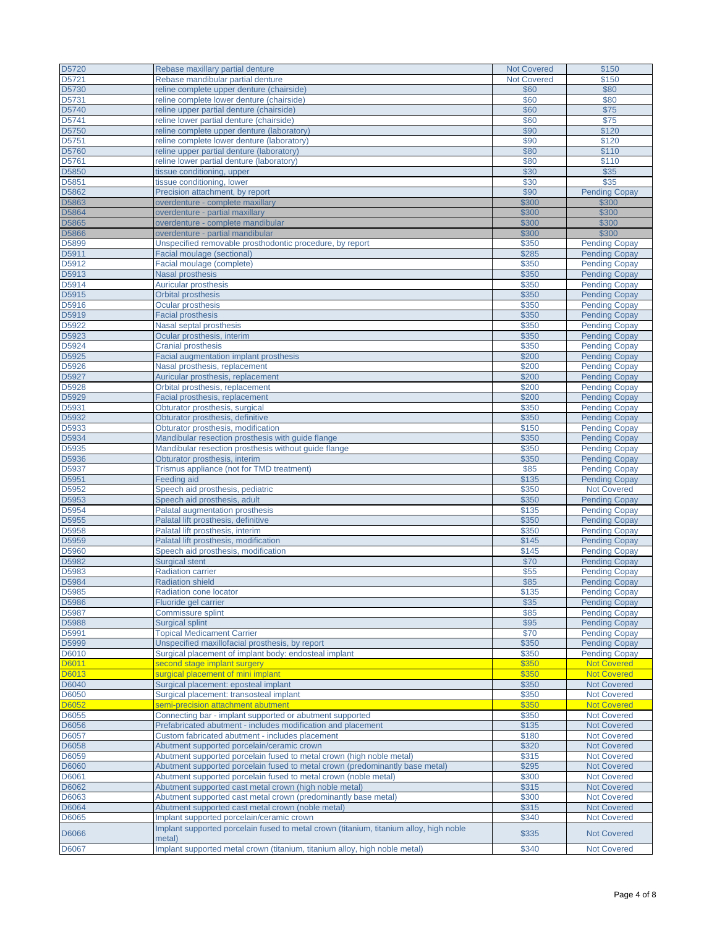| D5720          | Rebase maxillary partial denture                                                                                                    | <b>Not Covered</b> | \$150                                        |
|----------------|-------------------------------------------------------------------------------------------------------------------------------------|--------------------|----------------------------------------------|
| D5721          | Rebase mandibular partial denture                                                                                                   | <b>Not Covered</b> | \$150                                        |
| D5730          | reline complete upper denture (chairside)                                                                                           | \$60               | \$80                                         |
| D5731          | reline complete lower denture (chairside)                                                                                           | \$60               | \$80                                         |
| D5740          | reline upper partial denture (chairside)                                                                                            | \$60               | \$75                                         |
| D5741          | reline lower partial denture (chairside)                                                                                            | \$60               | \$75                                         |
| D5750          | reline complete upper denture (laboratory)                                                                                          | \$90               | \$120                                        |
| D5751          | reline complete lower denture (laboratory)                                                                                          | \$90               | \$120                                        |
| D5760          | reline upper partial denture (laboratory)                                                                                           | \$80               | \$110                                        |
| D5761          | reline lower partial denture (laboratory)                                                                                           | \$80               | \$110                                        |
| D5850          | tissue conditioning, upper                                                                                                          | \$30               | \$35                                         |
| D5851          | tissue conditioning, lower                                                                                                          | \$30               | \$35                                         |
| D5862          | Precision attachment, by report                                                                                                     | \$90               | <b>Pending Copay</b>                         |
| D5863          | overdenture - complete maxillary                                                                                                    | \$300              | \$300                                        |
| D5864          | overdenture - partial maxillary                                                                                                     | \$300              | \$300                                        |
| D5865          | overdenture - complete mandibular                                                                                                   | \$300              | \$300                                        |
| D5866          | overdenture - partial mandibular                                                                                                    | \$300              | \$300                                        |
| D5899          | Unspecified removable prosthodontic procedure, by report                                                                            | \$350              | <b>Pending Copay</b>                         |
| D5911          | Facial moulage (sectional)                                                                                                          | \$285              | <b>Pending Copay</b>                         |
| D5912          | Facial moulage (complete)                                                                                                           | \$350              | <b>Pending Copay</b>                         |
| D5913          | <b>Nasal prosthesis</b>                                                                                                             | \$350              | <b>Pending Copay</b>                         |
| D5914          | <b>Auricular prosthesis</b>                                                                                                         | \$350              | <b>Pending Copay</b>                         |
| D5915          | Orbital prosthesis                                                                                                                  | \$350              | <b>Pending Copay</b>                         |
| D5916          | <b>Ocular prosthesis</b>                                                                                                            | \$350              | <b>Pending Copay</b>                         |
| D5919          | <b>Facial prosthesis</b>                                                                                                            | \$350              | <b>Pending Copay</b>                         |
| D5922          | Nasal septal prosthesis                                                                                                             | \$350              | <b>Pending Copay</b>                         |
| D5923          | Ocular prosthesis, interim                                                                                                          | \$350              | <b>Pending Copay</b>                         |
| D5924<br>D5925 | <b>Cranial prosthesis</b>                                                                                                           | \$350<br>\$200     | <b>Pending Copay</b>                         |
|                | Facial augmentation implant prosthesis                                                                                              | \$200              | <b>Pending Copay</b>                         |
| D5926<br>D5927 | Nasal prosthesis, replacement                                                                                                       | \$200              | <b>Pending Copay</b>                         |
| D5928          | Auricular prosthesis, replacement<br>Orbital prosthesis, replacement                                                                | \$200              | <b>Pending Copay</b><br><b>Pending Copay</b> |
| D5929          | Facial prosthesis, replacement                                                                                                      | \$200              | <b>Pending Copay</b>                         |
| D5931          | Obturator prosthesis, surgical                                                                                                      | \$350              | <b>Pending Copay</b>                         |
| D5932          | Obturator prosthesis, definitive                                                                                                    | \$350              | <b>Pending Copay</b>                         |
| D5933          | Obturator prosthesis, modification                                                                                                  | \$150              | <b>Pending Copay</b>                         |
| D5934          | Mandibular resection prosthesis with guide flange                                                                                   | \$350              | <b>Pending Copay</b>                         |
| D5935          | Mandibular resection prosthesis without guide flange                                                                                | \$350              | <b>Pending Copay</b>                         |
| D5936          | Obturator prosthesis, interim                                                                                                       | \$350              | <b>Pending Copay</b>                         |
| D5937          | Trismus appliance (not for TMD treatment)                                                                                           | \$85               | <b>Pending Copay</b>                         |
| D5951          | <b>Feeding aid</b>                                                                                                                  | \$135              | <b>Pending Copay</b>                         |
| D5952          | Speech aid prosthesis, pediatric                                                                                                    | \$350              | <b>Not Covered</b>                           |
| D5953          | Speech aid prosthesis, adult                                                                                                        | \$350              | <b>Pending Copay</b>                         |
| D5954          | Palatal augmentation prosthesis                                                                                                     | \$135              | <b>Pending Copay</b>                         |
| D5955          | Palatal lift prosthesis, definitive                                                                                                 | \$350              | <b>Pending Copay</b>                         |
| D5958          | Palatal lift prosthesis, interim                                                                                                    | \$350              | <b>Pending Copay</b>                         |
| D5959          | Palatal lift prosthesis, modification                                                                                               | \$145              | <b>Pending Copay</b>                         |
| D5960          | Speech aid prosthesis, modification                                                                                                 | \$145              | <b>Pending Copay</b>                         |
| D5982          | <b>Surgical stent</b>                                                                                                               | \$70               | <b>Pending Copay</b>                         |
| D5983          | <b>Radiation carrier</b>                                                                                                            | \$55               | <b>Pending Copay</b>                         |
| D5984          | <b>Radiation shield</b>                                                                                                             | \$85               | <b>Pending Copay</b>                         |
| D5985          | Radiation cone locator                                                                                                              | \$135              | <b>Pending Copay</b>                         |
| D5986          | Fluoride gel carrier                                                                                                                | \$35               | <b>Pending Copay</b>                         |
| D5987          | Commissure splint                                                                                                                   | \$85               | <b>Pending Copay</b>                         |
| D5988          | <b>Surgical splint</b>                                                                                                              | \$95               | <b>Pending Copay</b>                         |
| D5991          | <b>Topical Medicament Carrier</b>                                                                                                   | \$70               | <b>Pending Copay</b>                         |
| D5999          | Unspecified maxillofacial prosthesis, by report                                                                                     | \$350              | <b>Pending Copay</b>                         |
| D6010          | Surgical placement of implant body: endosteal implant                                                                               | \$350              | <b>Pending Copay</b>                         |
| D6011          | second stage implant surgery                                                                                                        | \$350              | <b>Not Covered</b>                           |
| D6013          | surgical placement of mini implant                                                                                                  | \$350              | <b>Not Covered</b>                           |
| D6040          | Surgical placement: eposteal implant                                                                                                | \$350              | <b>Not Covered</b>                           |
| D6050          | Surgical placement: transosteal implant                                                                                             | \$350              | <b>Not Covered</b>                           |
| <b>D6052</b>   | semi-precision attachment abutment                                                                                                  | \$350              | <b>Not Covered</b>                           |
| D6055          | Connecting bar - implant supported or abutment supported                                                                            | \$350              | <b>Not Covered</b>                           |
| D6056          | Prefabricated abutment - includes modification and placement                                                                        | \$135              | <b>Not Covered</b>                           |
| D6057          | Custom fabricated abutment - includes placement                                                                                     | \$180              | <b>Not Covered</b>                           |
| D6058          | Abutment supported porcelain/ceramic crown                                                                                          | \$320              | <b>Not Covered</b>                           |
| D6059          | Abutment supported porcelain fused to metal crown (high noble metal)                                                                | \$315              | <b>Not Covered</b>                           |
| D6060          | Abutment supported porcelain fused to metal crown (predominantly base metal)                                                        | \$295              | <b>Not Covered</b>                           |
| D6061          | Abutment supported porcelain fused to metal crown (noble metal)                                                                     | \$300              | <b>Not Covered</b>                           |
| D6062          | Abutment supported cast metal crown (high noble metal)                                                                              | \$315              | <b>Not Covered</b>                           |
| D6063          | Abutment supported cast metal crown (predominantly base metal)                                                                      | \$300              | <b>Not Covered</b>                           |
| D6064          | Abutment supported cast metal crown (noble metal)                                                                                   | \$315<br>\$340     | <b>Not Covered</b><br><b>Not Covered</b>     |
| D6065          | Implant supported porcelain/ceramic crown<br>Implant supported porcelain fused to metal crown (titanium, titanium alloy, high noble |                    |                                              |
| D6066          | metal)                                                                                                                              | \$335              | <b>Not Covered</b>                           |
| D6067          | Implant supported metal crown (titanium, titanium alloy, high noble metal)                                                          | \$340              | <b>Not Covered</b>                           |
|                |                                                                                                                                     |                    |                                              |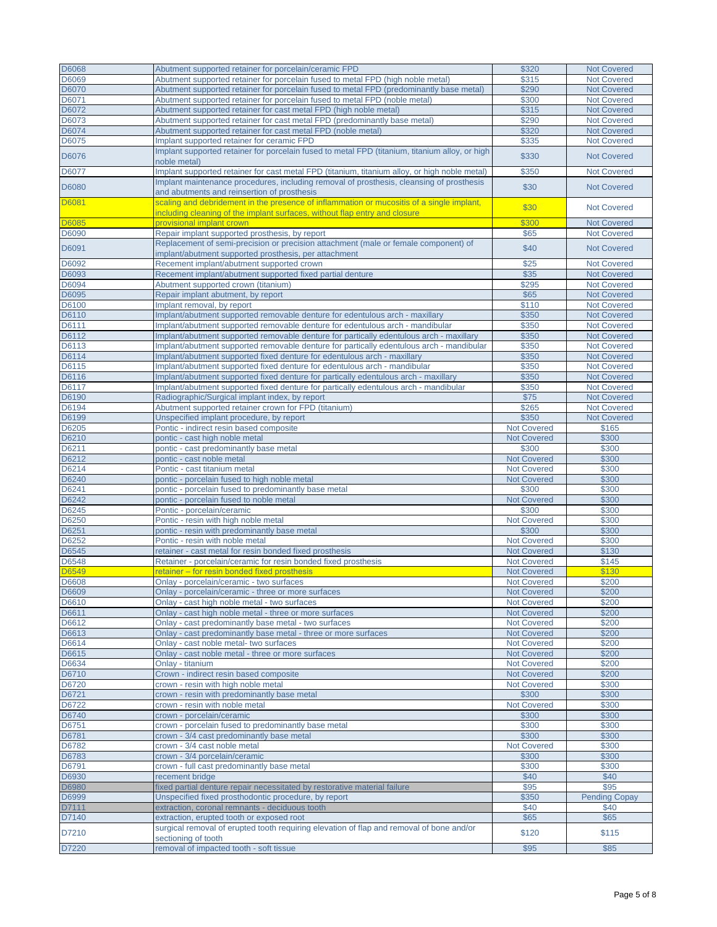| D6068 | Abutment supported retainer for porcelain/ceramic FPD                                          | \$320              | <b>Not Covered</b>   |
|-------|------------------------------------------------------------------------------------------------|--------------------|----------------------|
| D6069 | Abutment supported retainer for porcelain fused to metal FPD (high noble metal)                | \$315              | <b>Not Covered</b>   |
| D6070 |                                                                                                | \$290              | <b>Not Covered</b>   |
|       | Abutment supported retainer for porcelain fused to metal FPD (predominantly base metal)        |                    |                      |
| D6071 | Abutment supported retainer for porcelain fused to metal FPD (noble metal)                     | \$300              | <b>Not Covered</b>   |
| D6072 | Abutment supported retainer for cast metal FPD (high noble metal)                              | \$315              | <b>Not Covered</b>   |
| D6073 | Abutment supported retainer for cast metal FPD (predominantly base metal)                      | \$290              | <b>Not Covered</b>   |
| D6074 | Abutment supported retainer for cast metal FPD (noble metal)                                   | \$320              | <b>Not Covered</b>   |
| D6075 | Implant supported retainer for ceramic FPD                                                     | \$335              | <b>Not Covered</b>   |
|       | Implant supported retainer for porcelain fused to metal FPD (titanium, titanium alloy, or high |                    |                      |
| D6076 | noble metal)                                                                                   | \$330              | <b>Not Covered</b>   |
| D6077 | Implant supported retainer for cast metal FPD (titanium, titanium alloy, or high noble metal)  | \$350              | Not Covered          |
|       |                                                                                                |                    |                      |
| D6080 | Implant maintenance procedures, including removal of prosthesis, cleansing of prosthesis       | \$30               | <b>Not Covered</b>   |
|       | and abutments and reinsertion of prosthesis                                                    |                    |                      |
| D6081 | scaling and debridement in the presence of inflammation or mucositis of a single implant,      | \$30               | <b>Not Covered</b>   |
|       | including cleaning of the implant surfaces, without flap entry and closure                     |                    |                      |
| D6085 | provisional implant crown                                                                      | \$300              | <b>Not Covered</b>   |
| D6090 | Repair implant supported prosthesis, by report                                                 | \$65               | <b>Not Covered</b>   |
|       | Replacement of semi-precision or precision attachment (male or female component) of            |                    |                      |
| D6091 | implant/abutment supported prosthesis, per attachment                                          | \$40               | <b>Not Covered</b>   |
| D6092 | Recement implant/abutment supported crown                                                      | \$25               | <b>Not Covered</b>   |
| D6093 | Recement implant/abutment supported fixed partial denture                                      | \$35               | <b>Not Covered</b>   |
| D6094 | Abutment supported crown (titanium)                                                            | \$295              | <b>Not Covered</b>   |
|       |                                                                                                |                    |                      |
| D6095 | Repair implant abutment, by report                                                             | \$65               | <b>Not Covered</b>   |
| D6100 | Implant removal, by report                                                                     | \$110              | <b>Not Covered</b>   |
| D6110 | Implant/abutment supported removable denture for edentulous arch - maxillary                   | \$350              | <b>Not Covered</b>   |
| D6111 | Implant/abutment supported removable denture for edentulous arch - mandibular                  | \$350              | <b>Not Covered</b>   |
| D6112 | Implant/abutment supported removable denture for partically edentulous arch - maxillary        | \$350              | <b>Not Covered</b>   |
| D6113 | Implant/abutment supported removable denture for partically edentulous arch - mandibular       | \$350              | <b>Not Covered</b>   |
| D6114 | Implant/abutment supported fixed denture for edentulous arch - maxillary                       | \$350              | <b>Not Covered</b>   |
| D6115 | Implant/abutment supported fixed denture for edentulous arch - mandibular                      | \$350              | <b>Not Covered</b>   |
| D6116 | Implant/abutment supported fixed denture for partically edentulous arch - maxillary            | \$350              | <b>Not Covered</b>   |
| D6117 | Implant/abutment supported fixed denture for partically edentulous arch - mandibular           | \$350              | <b>Not Covered</b>   |
| D6190 | Radiographic/Surgical implant index, by report                                                 | \$75               | <b>Not Covered</b>   |
| D6194 | Abutment supported retainer crown for FPD (titanium)                                           | \$265              | <b>Not Covered</b>   |
|       |                                                                                                |                    |                      |
| D6199 | Unspecified implant procedure, by report                                                       | \$350              | <b>Not Covered</b>   |
| D6205 | Pontic - indirect resin based composite                                                        | <b>Not Covered</b> | \$165                |
| D6210 | pontic - cast high noble metal                                                                 | <b>Not Covered</b> | \$300                |
| D6211 | pontic - cast predominantly base metal                                                         | \$300              | \$300                |
| D6212 | pontic - cast noble metal                                                                      | <b>Not Covered</b> | \$300                |
| D6214 | Pontic - cast titanium metal                                                                   | <b>Not Covered</b> | \$300                |
| D6240 | pontic - porcelain fused to high noble metal                                                   | <b>Not Covered</b> | \$300                |
| D6241 | pontic - porcelain fused to predominantly base metal                                           | \$300              | \$300                |
| D6242 | pontic - porcelain fused to noble metal                                                        | <b>Not Covered</b> | \$300                |
| D6245 | Pontic - porcelain/ceramic                                                                     | \$300              | \$300                |
| D6250 | Pontic - resin with high noble metal                                                           | <b>Not Covered</b> | \$300                |
| D6251 | pontic - resin with predominantly base metal                                                   | \$300              | \$300                |
| D6252 | Pontic - resin with noble metal                                                                | <b>Not Covered</b> | \$300                |
|       | retainer - cast metal for resin bonded fixed prosthesis                                        |                    | \$130                |
| D6545 |                                                                                                | <b>Not Covered</b> |                      |
| D6548 | Retainer - porcelain/ceramic for resin bonded fixed prosthesis                                 | <b>Not Covered</b> | \$145                |
| D6549 | retainer – for resin bonded fixed prosthesis                                                   | <b>Not Covered</b> | \$130                |
| D6608 | Onlay - porcelain/ceramic - two surfaces                                                       | <b>Not Covered</b> | \$200                |
| D6609 | Onlay - porcelain/ceramic - three or more surfaces                                             | <b>Not Covered</b> | \$200                |
| D6610 | Onlay - cast high noble metal - two surfaces                                                   | <b>Not Covered</b> | \$200                |
| D6611 | Onlay - cast high noble metal - three or more surfaces                                         | <b>Not Covered</b> | \$200                |
| D6612 | Onlay - cast predominantly base metal - two surfaces                                           | <b>Not Covered</b> | \$200                |
| D6613 | Onlay - cast predominantly base metal - three or more surfaces                                 | <b>Not Covered</b> | \$200                |
| D6614 | Onlay - cast noble metal- two surfaces                                                         | <b>Not Covered</b> | \$200                |
| D6615 | Onlay - cast noble metal - three or more surfaces                                              | <b>Not Covered</b> | \$200                |
| D6634 | Onlay - titanium                                                                               | <b>Not Covered</b> | \$200                |
| D6710 | Crown - indirect resin based composite                                                         | <b>Not Covered</b> | \$200                |
| D6720 | crown - resin with high noble metal                                                            | <b>Not Covered</b> | \$300                |
| D6721 | crown - resin with predominantly base metal                                                    | \$300              | \$300                |
|       | crown - resin with noble metal                                                                 | <b>Not Covered</b> |                      |
| D6722 |                                                                                                |                    | \$300                |
| D6740 | crown - porcelain/ceramic                                                                      | \$300              | \$300                |
| D6751 | crown - porcelain fused to predominantly base metal                                            | \$300              | \$300                |
| D6781 | crown - 3/4 cast predominantly base metal                                                      | \$300              | \$300                |
| D6782 | crown - 3/4 cast noble metal                                                                   | <b>Not Covered</b> | \$300                |
| D6783 | crown - 3/4 porcelain/ceramic                                                                  | \$300              | \$300                |
| D6791 | crown - full cast predominantly base metal                                                     | \$300              | \$300                |
| D6930 | recement bridge                                                                                | \$40               | \$40                 |
| D6980 |                                                                                                |                    |                      |
|       |                                                                                                | \$95               | \$95                 |
|       | fixed partial denture repair necessitated by restorative material failure                      | \$350              |                      |
| D6999 | Unspecified fixed prosthodontic procedure, by report                                           |                    | <b>Pending Copay</b> |
| D7111 | extraction, coronal remnants - deciduous tooth                                                 | \$40               | \$40                 |
| D7140 | extraction, erupted tooth or exposed root                                                      | \$65               | \$65                 |
| D7210 | surgical removal of erupted tooth requiring elevation of flap and removal of bone and/or       | \$120              | \$115                |
| D7220 | sectioning of tooth<br>removal of impacted tooth - soft tissue                                 | \$95               | \$85                 |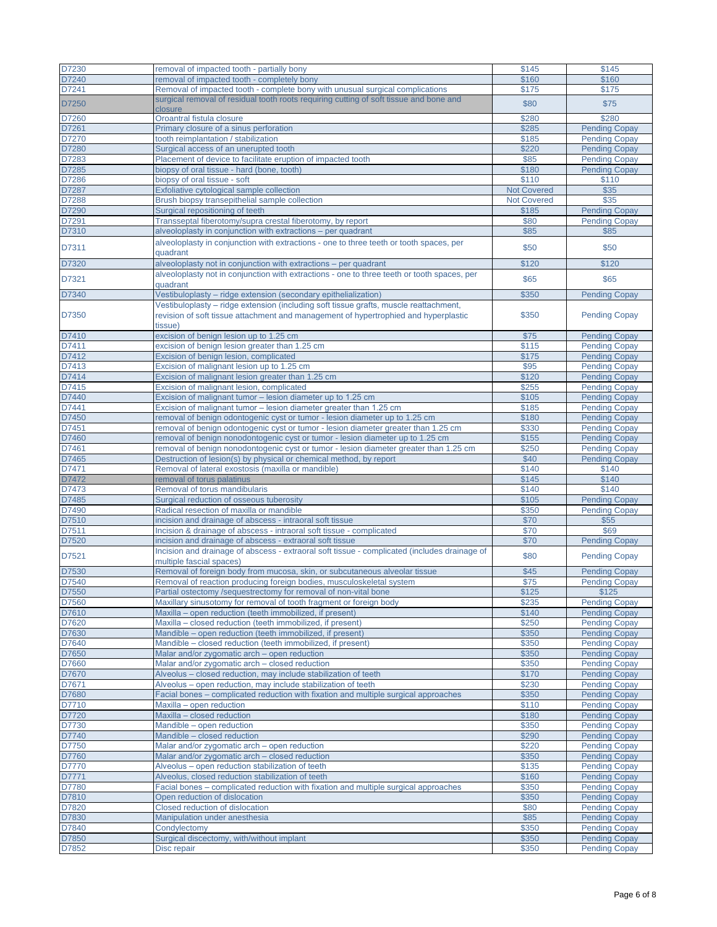| D7230 | removal of impacted tooth - partially bony                                                   | \$145              | \$145                |
|-------|----------------------------------------------------------------------------------------------|--------------------|----------------------|
| D7240 | removal of impacted tooth - completely bony                                                  | \$160              | \$160                |
| D7241 | Removal of impacted tooth - complete bony with unusual surgical complications                | \$175              | \$175                |
|       | surgical removal of residual tooth roots requiring cutting of soft tissue and bone and       |                    |                      |
| D7250 | closure                                                                                      | \$80               | \$75                 |
| D7260 | Oroantral fistula closure                                                                    | \$280              | \$280                |
| D7261 | Primary closure of a sinus perforation                                                       | \$285              | <b>Pending Copay</b> |
| D7270 | tooth reimplantation / stabilization                                                         | \$185              | <b>Pending Copay</b> |
| D7280 | Surgical access of an unerupted tooth                                                        | \$220              | <b>Pending Copay</b> |
|       |                                                                                              |                    |                      |
| D7283 | Placement of device to facilitate eruption of impacted tooth                                 | \$85               | <b>Pending Copay</b> |
| D7285 | biopsy of oral tissue - hard (bone, tooth)                                                   | \$180              | <b>Pending Copay</b> |
| D7286 | biopsy of oral tissue - soft                                                                 | \$110              | \$110                |
| D7287 | Exfoliative cytological sample collection                                                    | <b>Not Covered</b> | \$35                 |
| D7288 | Brush biopsy transepithelial sample collection                                               | <b>Not Covered</b> | \$35                 |
| D7290 | Surgical repositioning of teeth                                                              | \$185              | <b>Pending Copay</b> |
| D7291 | Transseptal fiberotomy/supra crestal fiberotomy, by report                                   | \$80               | <b>Pending Copay</b> |
| D7310 | alveoloplasty in conjunction with extractions - per quadrant                                 | \$85               | \$85                 |
|       | alveoloplasty in conjunction with extractions - one to three teeth or tooth spaces, per      |                    |                      |
| D7311 | quadrant                                                                                     | \$50               | \$50                 |
| D7320 | alveoloplasty not in conjunction with extractions - per quadrant                             | \$120              | \$120                |
|       | alveoloplasty not in conjunction with extractions - one to three teeth or tooth spaces, per  |                    |                      |
| D7321 | quadrant                                                                                     | \$65               | \$65                 |
| D7340 |                                                                                              | \$350              |                      |
|       | Vestibuloplasty - ridge extension (secondary epithelialization)                              |                    | <b>Pending Copay</b> |
|       | Vestibuloplasty – ridge extension (including soft tissue grafts, muscle reattachment,        |                    |                      |
| D7350 | revision of soft tissue attachment and management of hypertrophied and hyperplastic          | \$350              | <b>Pending Copay</b> |
|       | tissue)                                                                                      |                    |                      |
| D7410 | excision of benign lesion up to 1.25 cm                                                      | \$75               | <b>Pending Copay</b> |
| D7411 | excision of benign lesion greater than 1.25 cm                                               | \$115              | <b>Pending Copay</b> |
| D7412 | Excision of benign lesion, complicated                                                       | \$175              | <b>Pending Copay</b> |
| D7413 | Excision of malignant lesion up to 1.25 cm                                                   | \$95               | <b>Pending Copay</b> |
| D7414 | Excision of malignant lesion greater than 1.25 cm                                            | \$120              | <b>Pending Copay</b> |
| D7415 | Excision of malignant lesion, complicated                                                    | \$255              | <b>Pending Copay</b> |
| D7440 | Excision of malignant tumor - lesion diameter up to 1.25 cm                                  | \$105              | <b>Pending Copay</b> |
| D7441 | Excision of malignant tumor – lesion diameter greater than 1.25 cm                           | \$185              | <b>Pending Copay</b> |
| D7450 | removal of benign odontogenic cyst or tumor - lesion diameter up to 1.25 cm                  | \$180              | <b>Pending Copay</b> |
| D7451 | removal of benign odontogenic cyst or tumor - lesion diameter greater than 1.25 cm           | \$330              | <b>Pending Copay</b> |
| D7460 | removal of benign nonodontogenic cyst or tumor - lesion diameter up to 1.25 cm               | \$155              | <b>Pending Copay</b> |
| D7461 | removal of benign nonodontogenic cyst or tumor - lesion diameter greater than 1.25 cm        | \$250              | <b>Pending Copay</b> |
| D7465 | Destruction of lesion(s) by physical or chemical method, by report                           | \$40               | <b>Pending Copay</b> |
| D7471 |                                                                                              |                    |                      |
|       | Removal of lateral exostosis (maxilla or mandible)                                           | \$140              | \$140                |
| D7472 | removal of torus palatinus                                                                   | \$145              | \$140                |
| D7473 | Removal of torus mandibularis                                                                | \$140              | \$140                |
| D7485 | Surgical reduction of osseous tuberosity                                                     | \$105              | <b>Pending Copay</b> |
| D7490 | Radical resection of maxilla or mandible                                                     | \$350              | <b>Pending Copay</b> |
| D7510 | incision and drainage of abscess - intraoral soft tissue                                     | \$70               | \$55                 |
| D7511 | Incision & drainage of abscess - intraoral soft tissue - complicated                         | \$70               | \$69                 |
| D7520 | incision and drainage of abscess - extraoral soft tissue                                     | \$70               | <b>Pending Copay</b> |
| D7521 | Incision and drainage of abscess - extraoral soft tissue - complicated (includes drainage of | \$80               |                      |
|       | multiple fascial spaces)                                                                     |                    | <b>Pending Copay</b> |
| D7530 | Removal of foreign body from mucosa, skin, or subcutaneous alveolar tissue                   | \$45               | <b>Pending Copay</b> |
| D7540 | Removal of reaction producing foreign bodies, musculoskeletal system                         | \$75               | <b>Pending Copay</b> |
| D7550 | Partial ostectomy /sequestrectomy for removal of non-vital bone                              | \$125              | \$125                |
| D7560 | Maxillary sinusotomy for removal of tooth fragment or foreign body                           | \$235              | <b>Pending Copay</b> |
| D7610 | Maxilla – open reduction (teeth immobilized, if present)                                     | \$140              | <b>Pending Copay</b> |
| D7620 | Maxilla - closed reduction (teeth immobilized, if present)                                   | \$250              | <b>Pending Copay</b> |
| D7630 | Mandible - open reduction (teeth immobilized, if present)                                    | \$350              | <b>Pending Copay</b> |
| D7640 | Mandible - closed reduction (teeth immobilized, if present)                                  | \$350              | <b>Pending Copay</b> |
| D7650 | Malar and/or zygomatic arch - open reduction                                                 | \$350              | <b>Pending Copay</b> |
| D7660 | Malar and/or zygomatic arch - closed reduction                                               | \$350              |                      |
|       |                                                                                              |                    | <b>Pending Copay</b> |
| D7670 | Alveolus - closed reduction, may include stabilization of teeth                              | \$170              | <b>Pending Copay</b> |
| D7671 | Alveolus – open reduction, may include stabilization of teeth                                | \$230              | <b>Pending Copay</b> |
| D7680 | Facial bones – complicated reduction with fixation and multiple surgical approaches          | \$350              | <b>Pending Copay</b> |
| D7710 | Maxilla - open reduction                                                                     | \$110              | <b>Pending Copay</b> |
| D7720 | Maxilla - closed reduction                                                                   | \$180              | <b>Pending Copay</b> |
| D7730 | Mandible - open reduction                                                                    | \$350              | <b>Pending Copay</b> |
| D7740 | Mandible - closed reduction                                                                  | \$290              | <b>Pending Copay</b> |
| D7750 | Malar and/or zygomatic arch – open reduction                                                 | \$220              | <b>Pending Copay</b> |
| D7760 | Malar and/or zygomatic arch – closed reduction                                               | \$350              | <b>Pending Copay</b> |
| D7770 | Alveolus - open reduction stabilization of teeth                                             | \$135              | <b>Pending Copay</b> |
| D7771 | Alveolus, closed reduction stabilization of teeth                                            | \$160              | <b>Pending Copay</b> |
| D7780 | Facial bones – complicated reduction with fixation and multiple surgical approaches          | \$350              | <b>Pending Copay</b> |
| D7810 | Open reduction of dislocation                                                                | \$350              | <b>Pending Copay</b> |
| D7820 | Closed reduction of dislocation                                                              | \$80               | <b>Pending Copay</b> |
| D7830 | Manipulation under anesthesia                                                                | \$85               | <b>Pending Copay</b> |
| D7840 | Condylectomy                                                                                 | \$350              | <b>Pending Copay</b> |
| D7850 | Surgical discectomy, with/without implant                                                    | \$350              | <b>Pending Copay</b> |
|       |                                                                                              |                    |                      |
| D7852 | Disc repair                                                                                  | \$350              | <b>Pending Copay</b> |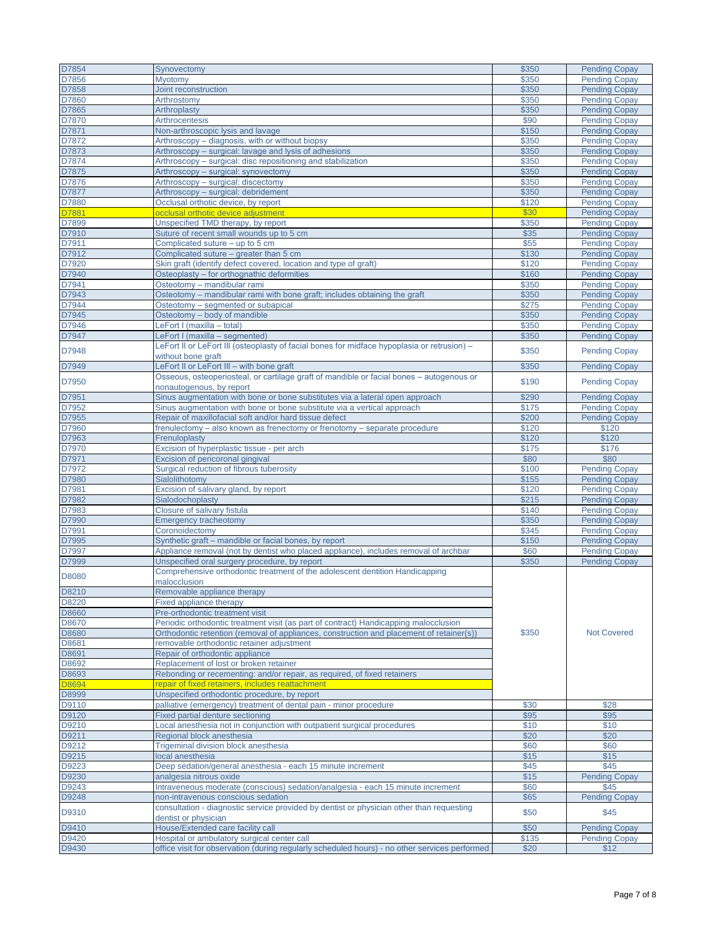| D7854 |                                                                                               | \$350 |                      |
|-------|-----------------------------------------------------------------------------------------------|-------|----------------------|
|       | Synovectomy                                                                                   |       | <b>Pending Copay</b> |
| D7856 | Myotomy                                                                                       | \$350 | <b>Pending Copay</b> |
| D7858 | Joint reconstruction                                                                          | \$350 | <b>Pending Copay</b> |
|       | Arthrostomy                                                                                   |       |                      |
| D7860 |                                                                                               | \$350 | <b>Pending Copay</b> |
| D7865 | Arthroplasty                                                                                  | \$350 | <b>Pending Copay</b> |
| D7870 | Arthrocentesis                                                                                | \$90  | <b>Pending Copay</b> |
| D7871 | Non-arthroscopic lysis and lavage                                                             | \$150 | <b>Pending Copay</b> |
|       |                                                                                               |       |                      |
| D7872 | Arthroscopy - diagnosis, with or without biopsy                                               | \$350 | <b>Pending Copay</b> |
| D7873 | Arthroscopy – surgical: lavage and lysis of adhesions                                         | \$350 | <b>Pending Copay</b> |
| D7874 | Arthroscopy - surgical: disc repositioning and stabilization                                  | \$350 | <b>Pending Copay</b> |
|       |                                                                                               |       |                      |
| D7875 | Arthroscopy - surgical: synovectomy                                                           | \$350 | <b>Pending Copay</b> |
| D7876 | Arthroscopy - surgical: discectomy                                                            | \$350 | <b>Pending Copay</b> |
| D7877 | Arthroscopy - surgical: debridement                                                           | \$350 | <b>Pending Copay</b> |
| D7880 | Occlusal orthotic device, by report                                                           | \$120 | <b>Pending Copay</b> |
|       |                                                                                               |       |                      |
| D7881 | occlusal orthotic device adjustment                                                           | \$30  | <b>Pending Copay</b> |
| D7899 | Unspecified TMD therapy, by report                                                            | \$350 | <b>Pending Copay</b> |
| D7910 | Suture of recent small wounds up to 5 cm                                                      | \$35  | <b>Pending Copay</b> |
| D7911 | Complicated suture - up to 5 cm                                                               | \$55  | <b>Pending Copay</b> |
|       |                                                                                               |       |                      |
| D7912 | Complicated suture – greater than 5 cm                                                        | \$130 | <b>Pending Copay</b> |
| D7920 | Skin graft (identify defect covered, location and type of graft)                              | \$120 | <b>Pending Copay</b> |
| D7940 | Osteoplasty - for orthognathic deformities                                                    | \$160 | <b>Pending Copay</b> |
|       |                                                                                               |       |                      |
| D7941 | Osteotomy - mandibular rami                                                                   | \$350 | <b>Pending Copay</b> |
| D7943 | Osteotomy - mandibular rami with bone graft; includes obtaining the graft                     | \$350 | <b>Pending Copay</b> |
| D7944 | Osteotomy - segmented or subapical                                                            | \$275 | <b>Pending Copay</b> |
|       | Osteotomy - body of mandible                                                                  | \$350 | <b>Pending Copay</b> |
| D7945 |                                                                                               |       |                      |
| D7946 | LeFort I (maxilla - total)                                                                    | \$350 | <b>Pending Copay</b> |
| D7947 | LeFort I (maxilla - segmented)                                                                | \$350 | <b>Pending Copay</b> |
|       | LeFort II or LeFort III (osteoplasty of facial bones for midface hypoplasia or retrusion) -   |       |                      |
| D7948 |                                                                                               | \$350 | <b>Pending Copay</b> |
|       | without bone graft                                                                            |       |                      |
| D7949 | LeFort II or LeFort III - with bone graft                                                     | \$350 | <b>Pending Copay</b> |
|       | Osseous, osteoperiosteal, or cartilage graft of mandible or facial bones - autogenous or      |       |                      |
| D7950 |                                                                                               | \$190 | <b>Pending Copay</b> |
|       | nonautogenous, by report                                                                      |       |                      |
| D7951 | Sinus augmentation with bone or bone substitutes via a lateral open approach                  | \$290 | <b>Pending Copay</b> |
| D7952 | Sinus augmentation with bone or bone substitute via a vertical approach                       | \$175 | <b>Pending Copay</b> |
|       |                                                                                               |       |                      |
| D7955 | Repair of maxillofacial soft and/or hard tissue defect                                        | \$200 | <b>Pending Copay</b> |
| D7960 | frenulectomy - also known as frenectomy or frenotomy - separate procedure                     | \$120 | \$120                |
| D7963 | Frenuloplasty                                                                                 | \$120 | \$120                |
|       |                                                                                               |       |                      |
| D7970 | Excision of hyperplastic tissue - per arch                                                    | \$175 | \$176                |
| D7971 | Excision of pericoronal gingival                                                              | \$80  | \$80                 |
| D7972 | Surgical reduction of fibrous tuberosity                                                      | \$100 | <b>Pending Copay</b> |
| D7980 |                                                                                               |       |                      |
|       | Sialolithotomy                                                                                | \$155 | <b>Pending Copay</b> |
| D7981 | Excision of salivary gland, by report                                                         | \$120 | <b>Pending Copay</b> |
| D7982 | Sialodochoplasty                                                                              | \$215 | <b>Pending Copay</b> |
| D7983 |                                                                                               | \$140 |                      |
|       | Closure of salivary fistula                                                                   |       | <b>Pending Copay</b> |
| D7990 | <b>Emergency tracheotomy</b>                                                                  | \$350 | <b>Pending Copay</b> |
| D7991 | Coronoidectomy                                                                                | \$345 | <b>Pending Copay</b> |
| D7995 | Synthetic graft – mandible or facial bones, by report                                         | \$150 | <b>Pending Copay</b> |
|       |                                                                                               |       |                      |
| D7997 | Appliance removal (not by dentist who placed appliance), includes removal of archbar          | \$60  | <b>Pending Copay</b> |
| D7999 | Unspecified oral surgery procedure, by report                                                 | \$350 | <b>Pending Copay</b> |
|       | Comprehensive orthodontic treatment of the adolescent dentition Handicapping                  |       |                      |
| D8080 |                                                                                               |       |                      |
|       | malocclusion                                                                                  |       |                      |
| D8210 | Removable appliance therapy                                                                   |       |                      |
| D8220 | <b>Fixed appliance therapy</b>                                                                |       |                      |
| D8660 | Pre-orthodontic treatment visit                                                               |       |                      |
|       |                                                                                               |       | <b>Not Covered</b>   |
| D8670 | Periodic orthodontic treatment visit (as part of contract) Handicapping malocclusion          |       |                      |
| D8680 | Orthodontic retention (removal of appliances, construction and placement of retainer(s))      | \$350 |                      |
| D8681 | removable orthodontic retainer adjustment                                                     |       |                      |
|       |                                                                                               |       |                      |
| D8691 | Repair of orthodontic appliance                                                               |       |                      |
| D8692 | Replacement of lost or broken retainer                                                        |       |                      |
| D8693 | Rebonding or recementing: and/or repair, as required, of fixed retainers                      |       |                      |
| D8694 | repair of fixed retainers, includes reattachment                                              |       |                      |
|       |                                                                                               | \$30  |                      |
| D8999 | Unspecified orthodontic procedure, by report                                                  |       |                      |
| D9110 | palliative (emergency) treatment of dental pain - minor procedure                             |       | \$28                 |
| D9120 | <b>Fixed partial denture sectioning</b>                                                       | \$95  | \$95                 |
|       |                                                                                               |       |                      |
| D9210 | Local anesthesia not in conjunction with outpatient surgical procedures                       | \$10  | \$10                 |
| D9211 | Regional block anesthesia                                                                     | \$20  | \$20                 |
| D9212 | Trigeminal division block anesthesia                                                          | \$60  | \$60                 |
|       |                                                                                               |       |                      |
| D9215 | local anesthesia                                                                              | \$15  | \$15                 |
| D9223 | Deep sedation/general anesthesia - each 15 minute increment                                   | \$45  | \$45                 |
| D9230 | analgesia nitrous oxide                                                                       | \$15  | <b>Pending Copay</b> |
|       |                                                                                               |       |                      |
| D9243 | Intraveneous moderate (conscious) sedation/analgesia - each 15 minute increment               | \$60  | \$45                 |
| D9248 | non-intravenous conscious sedation                                                            | \$65  | <b>Pending Copay</b> |
|       | consultation - diagnostic service provided by dentist or physician other than requesting      |       |                      |
| D9310 | dentist or physician                                                                          | \$50  | \$45                 |
|       |                                                                                               |       |                      |
| D9410 | House/Extended care facility call                                                             | \$50  | <b>Pending Copay</b> |
| D9420 | Hospital or ambulatory surgical center call                                                   | \$135 | <b>Pending Copay</b> |
| D9430 | office visit for observation (during regularly scheduled hours) - no other services performed | \$20  | \$12                 |
|       |                                                                                               |       |                      |